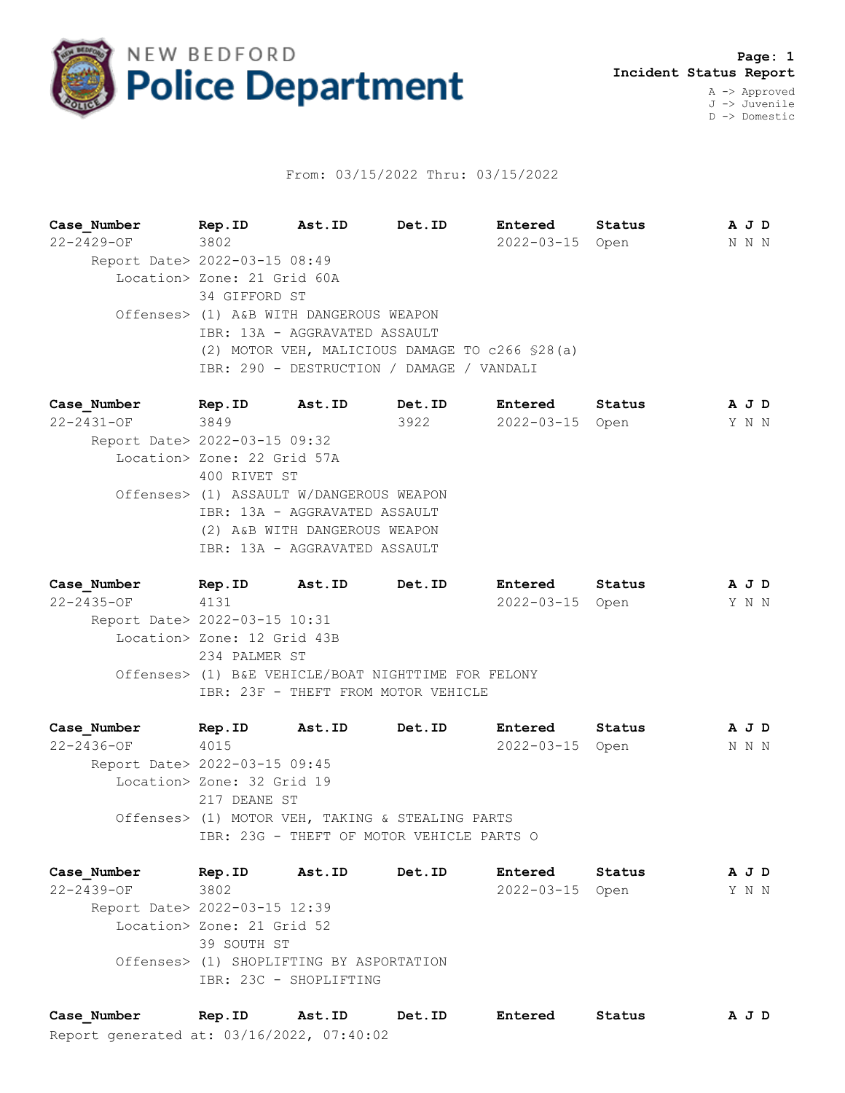

## From: 03/15/2022 Thru: 03/15/2022

**Case\_Number Rep.ID Ast.ID Det.ID Entered Status A J D** 22-2429-OF 3802 2022-03-15 Open N N N Report Date> 2022-03-15 08:49 Location> Zone: 21 Grid 60A 34 GIFFORD ST Offenses> (1) A&B WITH DANGEROUS WEAPON IBR: 13A - AGGRAVATED ASSAULT (2) MOTOR VEH, MALICIOUS DAMAGE TO c266 §28(a) IBR: 290 - DESTRUCTION / DAMAGE / VANDALI

**Case\_Number Rep.ID Ast.ID Det.ID Entered Status A J D** 22-2431-OF 3849 3922 2022-03-15 Open Y N N Report Date> 2022-03-15 09:32 Location> Zone: 22 Grid 57A 400 RIVET ST Offenses> (1) ASSAULT W/DANGEROUS WEAPON IBR: 13A - AGGRAVATED ASSAULT (2) A&B WITH DANGEROUS WEAPON IBR: 13A - AGGRAVATED ASSAULT

**Case\_Number Rep.ID Ast.ID Det.ID Entered Status A J D** 22-2435-OF 4131 2022-03-15 Open Y N N Report Date> 2022-03-15 10:31 Location> Zone: 12 Grid 43B 234 PALMER ST Offenses> (1) B&E VEHICLE/BOAT NIGHTTIME FOR FELONY IBR: 23F - THEFT FROM MOTOR VEHICLE

**Case\_Number Rep.ID Ast.ID Det.ID Entered Status A J D** 22-2436-OF 4015 2022-03-15 Open N N N Report Date> 2022-03-15 09:45 Location> Zone: 32 Grid 19 217 DEANE ST Offenses> (1) MOTOR VEH, TAKING & STEALING PARTS IBR: 23G - THEFT OF MOTOR VEHICLE PARTS O

**Case\_Number Rep.ID Ast.ID Det.ID Entered Status A J D** 22-2439-OF 3802 2022-03-15 Open Y N N Report Date> 2022-03-15 12:39 Location> Zone: 21 Grid 52 39 SOUTH ST Offenses> (1) SHOPLIFTING BY ASPORTATION IBR: 23C - SHOPLIFTING

Report generated at: 03/16/2022, 07:40:02 **Case\_Number Rep.ID Ast.ID Det.ID Entered Status A J D**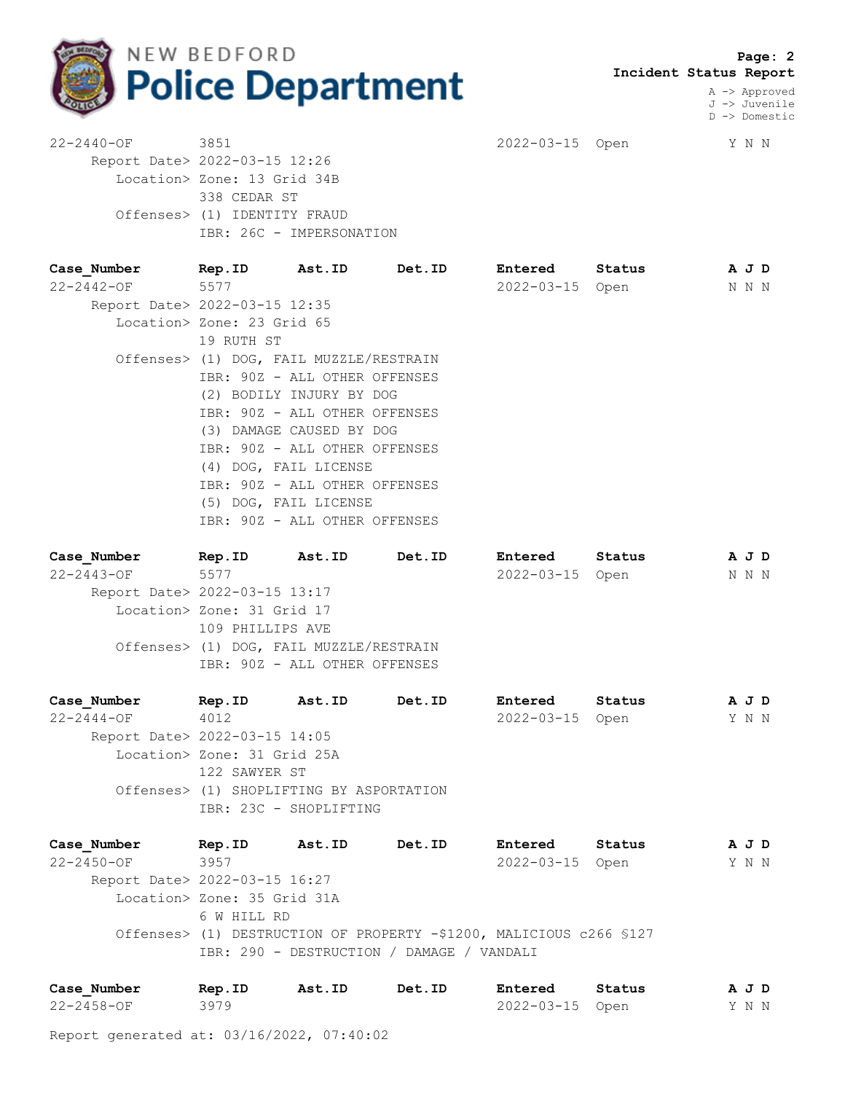

 **Page: 2 Incident Status Report**

> A -> Approved J -> Juvenile D -> Domestic

22-2440-OF 3851 2022-03-15 Open Y N N Report Date> 2022-03-15 12:26 Location> Zone: 13 Grid 34B 338 CEDAR ST Offenses> (1) IDENTITY FRAUD IBR: 26C - IMPERSONATION

| Case Number                   | Rep.ID Ast.ID                           | <b>Det.ID</b> | Entered         | Status | A J D |  |
|-------------------------------|-----------------------------------------|---------------|-----------------|--------|-------|--|
| 22-2442-OF                    | 5577                                    |               | 2022-03-15 Open |        | N N N |  |
| Report Date> 2022-03-15 12:35 |                                         |               |                 |        |       |  |
|                               | Location> Zone: 23 Grid 65              |               |                 |        |       |  |
|                               | 19 RUTH ST                              |               |                 |        |       |  |
|                               | Offenses> (1) DOG, FAIL MUZZLE/RESTRAIN |               |                 |        |       |  |
|                               | IBR: 90Z - ALL OTHER OFFENSES           |               |                 |        |       |  |
|                               | (2) BODILY INJURY BY DOG                |               |                 |        |       |  |
|                               | IBR: 90Z - ALL OTHER OFFENSES           |               |                 |        |       |  |
|                               | (3) DAMAGE CAUSED BY DOG                |               |                 |        |       |  |
|                               | IBR: 90Z - ALL OTHER OFFENSES           |               |                 |        |       |  |
|                               | (4) DOG, FAIL LICENSE                   |               |                 |        |       |  |
|                               | IBR: 90Z - ALL OTHER OFFENSES           |               |                 |        |       |  |
|                               | (5) DOG, FAIL LICENSE                   |               |                 |        |       |  |
|                               | IBR: 90Z - ALL OTHER OFFENSES           |               |                 |        |       |  |

| Case Number                   | Rep.ID                     | Ast.ID                                  | Det.ID | Entered         | Status | A J D |  |
|-------------------------------|----------------------------|-----------------------------------------|--------|-----------------|--------|-------|--|
| $22 - 2443 - OF$              | 5577                       |                                         |        | 2022-03-15 Open |        | N N N |  |
| Report Date> 2022-03-15 13:17 |                            |                                         |        |                 |        |       |  |
|                               | Location> Zone: 31 Grid 17 |                                         |        |                 |        |       |  |
|                               | 109 PHILLIPS AVE           |                                         |        |                 |        |       |  |
|                               |                            | Offenses> (1) DOG, FAIL MUZZLE/RESTRAIN |        |                 |        |       |  |
|                               |                            | IBR: 90Z - ALL OTHER OFFENSES           |        |                 |        |       |  |
|                               |                            |                                         |        |                 |        |       |  |

**Case\_Number Rep.ID Ast.ID Det.ID Entered Status A J D** 22-2444-OF 4012 2022-03-15 Open Y N N Report Date> 2022-03-15 14:05 Location> Zone: 31 Grid 25A 122 SAWYER ST Offenses> (1) SHOPLIFTING BY ASPORTATION IBR: 23C - SHOPLIFTING

**Case\_Number Rep.ID Ast.ID Det.ID Entered Status A J D** 22-2450-OF 3957 2022-03-15 Open Y N N Report Date> 2022-03-15 16:27 Location> Zone: 35 Grid 31A 6 W HILL RD Offenses> (1) DESTRUCTION OF PROPERTY -\$1200, MALICIOUS c266 §127 IBR: 290 - DESTRUCTION / DAMAGE / VANDALI

| Case Number | Rep.ID | Ast.ID | Det.ID | Entered         | Status | AJD   |  |
|-------------|--------|--------|--------|-----------------|--------|-------|--|
| 22-2458-OF  | 3979   |        |        | 2022-03-15 Open |        | Y N N |  |